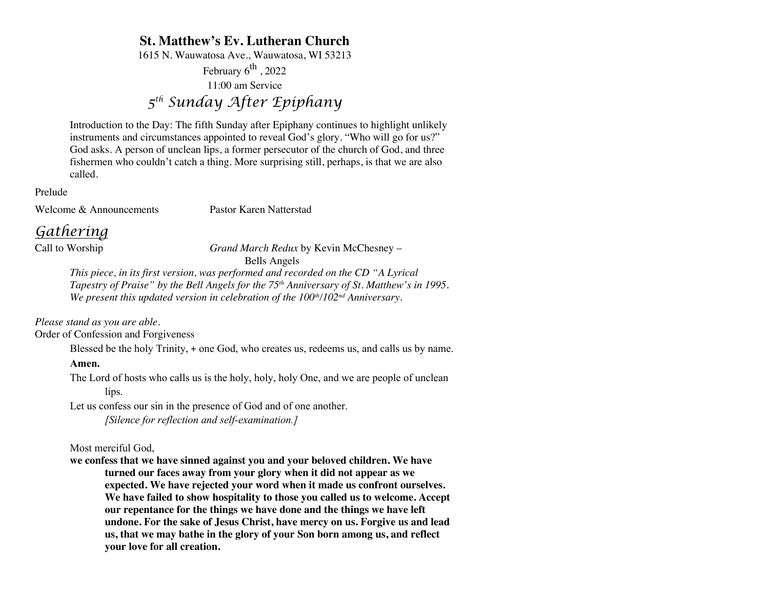## **St. Matthew's Ev. Lutheran Church**

1615 N. Wauwatosa Ave., Wauwatosa, WI 53213

February  $6^{th}$ , 2022

11:00 am Service

# *5th Sunday After Epiphany*

Introduction to the Day: The fifth Sunday after Epiphany continues to highlight unlikely instruments and circumstances appointed to reveal God's glory. "Who will go for us?" God asks. A person of unclean lips, a former persecutor of the church of God, and three fishermen who couldn't catch a thing. More surprising still, perhaps, is that we are also called.

Prelude

Welcome & Announcements Pastor Karen Natterstad

# *Gathering*

Call to Worship *Grand March Redux* by Kevin McChesney – Bells Angels

*This piece, in its first version, was performed and recorded on the CD "A Lyrical Tapestry of Praise" by the Bell Angels for the 75th Anniversary of St. Matthew's in 1995. We present this updated version in celebration of the 100<sup>th</sup>/102<sup>nd</sup> Anniversary.* 

*Please stand as you are able.*

Order of Confession and Forgiveness

Blessed be the holy Trinity, + one God, who creates us, redeems us, and calls us by name.

### **Amen.**

The Lord of hosts who calls us is the holy, holy, holy One, and we are people of unclean lips.

Let us confess our sin in the presence of God and of one another.

*[Silence for reflection and self-examination.]*

Most merciful God,

**we confess that we have sinned against you and your beloved children. We have turned our faces away from your glory when it did not appear as we expected. We have rejected your word when it made us confront ourselves. We have failed to show hospitality to those you called us to welcome. Accept our repentance for the things we have done and the things we have left undone. For the sake of Jesus Christ, have mercy on us. Forgive us and lead us, that we may bathe in the glory of your Son born among us, and reflect your love for all creation.**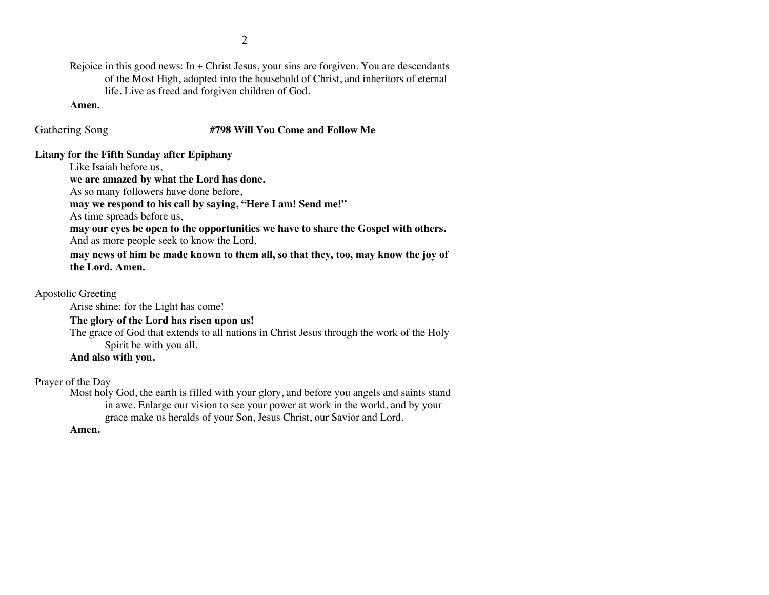Rejoice in this good news: In + Christ Jesus, your sins are forgiven. You are descendants of the Most High, adopted into the household of Christ, and inheritors of eternal life. Live as freed and forgiven children of God.

#### **Amen.**

### Gathering Song **#798 Will You Come and Follow Me**

### **Litany for the Fifth Sunday after Epiphany**

Like Isaiah before us,

**we are amazed by what the Lord has done.**

As so many followers have done before,

**may we respond to his call by saying, "Here I am! Send me!"**

As time spreads before us,

**may our eyes be open to the opportunities we have to share the Gospel with others.** And as more people seek to know the Lord,

**may news of him be made known to them all, so that they, too, may know the joy of the Lord. Amen.**

Apostolic Greeting

Arise shine; for the Light has come!

### **The glory of the Lord has risen upon us!**

The grace of God that extends to all nations in Christ Jesus through the work of the Holy Spirit be with you all.

### **And also with you.**

Prayer of the Day

Most holy God, the earth is filled with your glory, and before you angels and saints stand in awe. Enlarge our vision to see your power at work in the world, and by your grace make us heralds of your Son, Jesus Christ, our Savior and Lord.

### **Amen.**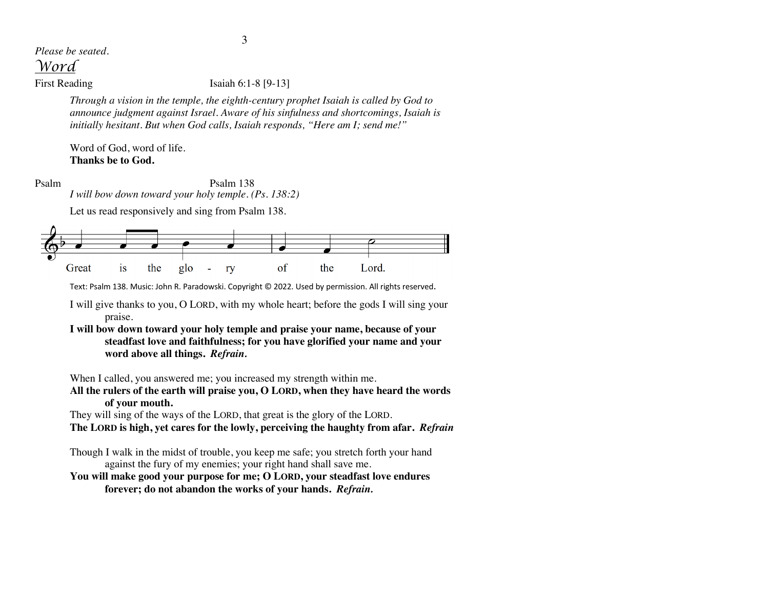# *Please be seated.*

*Word*

### First Reading Isaiah 6:1-8 [9-13]

*Through a vision in the temple, the eighth-century prophet Isaiah is called by God to announce judgment against Israel. Aware of his sinfulness and shortcomings, Isaiah is initially hesitant. But when God calls, Isaiah responds, "Here am I; send me!"*

Word of God, word of life. **Thanks be to God.**

Psalm Psalm 138 *I will bow down toward your holy temple. (Ps. 138:2)*

Let us read responsively and sing from Psalm 138.



Text: Psalm 138. Music: John R. Paradowski. Copyright © 2022. Used by permission. All rights reserved.

I will give thanks to you, O LORD, with my whole heart; before the gods I will sing your praise.

**I will bow down toward your holy temple and praise your name, because of your steadfast love and faithfulness; for you have glorified your name and your word above all things.** *Refrain.*

When I called, you answered me; you increased my strength within me.

**All the rulers of the earth will praise you, O LORD, when they have heard the words of your mouth.** 

They will sing of the ways of the LORD, that great is the glory of the LORD.

**The LORD is high, yet cares for the lowly, perceiving the haughty from afar.** *Refrain*

Though I walk in the midst of trouble, you keep me safe; you stretch forth your hand against the fury of my enemies; your right hand shall save me.

**You will make good your purpose for me; O LORD, your steadfast love endures forever; do not abandon the works of your hands.** *Refrain.*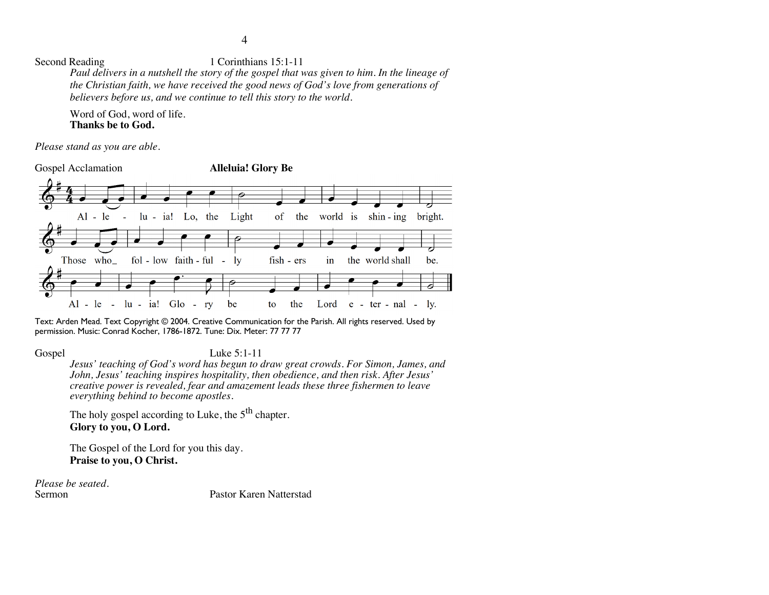Second Reading 1 Corinthians 15:1-11 *Paul delivers in a nutshell the story of the gospel that was given to him. In the lineage of the Christian faith, we have received the good news of God's love from generations of believers before us, and we continue to tell this story to the world.*

Word of God, word of life. **Thanks be to God.**

*Please stand as you are able.*

Gospel Acclamation **Alleluia! Glory Be**



Text: Arden Mead. Text Copyright © 2004. Creative Communication for the Parish. All rights reserved. Used by permission. Music: Conrad Kocher, 1786-1872. Tune: Dix. Meter: 77 77 77

### Gospel Luke 5:1-11

*Jesus' teaching of God's word has begun to draw great crowds. For Simon, James, and John, Jesus' teaching inspires hospitality, then obedience, and then risk. After Jesus' creative power is revealed, fear and amazement leads these three fishermen to leave everything behind to become apostles.*

The holy gospel according to Luke, the  $5<sup>th</sup>$  chapter. **Glory to you, O Lord.**

The Gospel of the Lord for you this day. **Praise to you, O Christ.**

*Please be seated.*

Pastor Karen Natterstad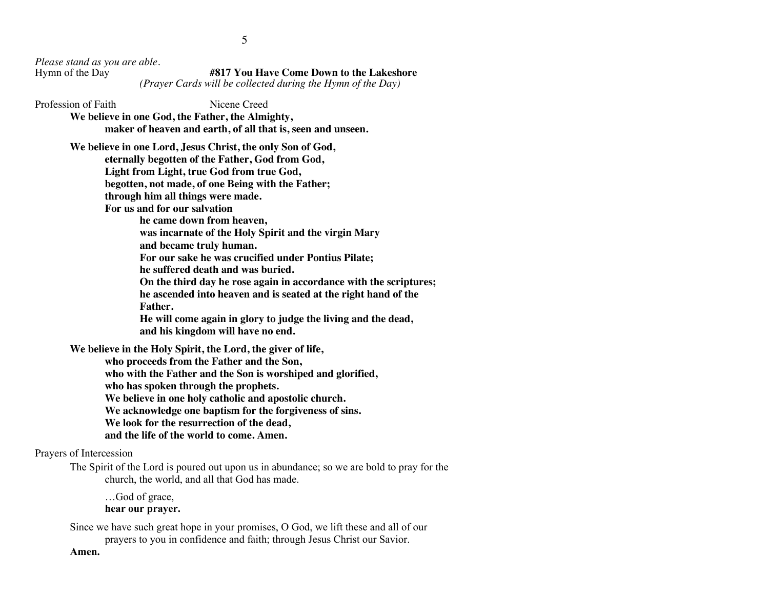*Please stand as you are able.*

**#817 You Have Come Down to the Lakeshore** *(Prayer Cards will be collected during the Hymn of the Day)*

Profession of Faith Nicene Creed

**We believe in one God, the Father, the Almighty,** 

**maker of heaven and earth, of all that is, seen and unseen.**

**We believe in one Lord, Jesus Christ, the only Son of God, eternally begotten of the Father, God from God,** 

**Light from Light, true God from true God,** 

**begotten, not made, of one Being with the Father;** 

**through him all things were made.**

**For us and for our salvation** 

**he came down from heaven,** 

**was incarnate of the Holy Spirit and the virgin Mary**

**and became truly human.** 

**For our sake he was crucified under Pontius Pilate; he suffered death and was buried.** 

**On the third day he rose again in accordance with the scriptures;** 

**he ascended into heaven and is seated at the right hand of the Father.** 

**He will come again in glory to judge the living and the dead, and his kingdom will have no end.**

**We believe in the Holy Spirit, the Lord, the giver of life,** 

**who proceeds from the Father and the Son, who with the Father and the Son is worshiped and glorified, who has spoken through the prophets. We believe in one holy catholic and apostolic church. We acknowledge one baptism for the forgiveness of sins. We look for the resurrection of the dead, and the life of the world to come. Amen.**

Prayers of Intercession

The Spirit of the Lord is poured out upon us in abundance; so we are bold to pray for the church, the world, and all that God has made.

…God of grace, **hear our prayer.**

Since we have such great hope in your promises, O God, we lift these and all of our prayers to you in confidence and faith; through Jesus Christ our Savior.

**Amen.**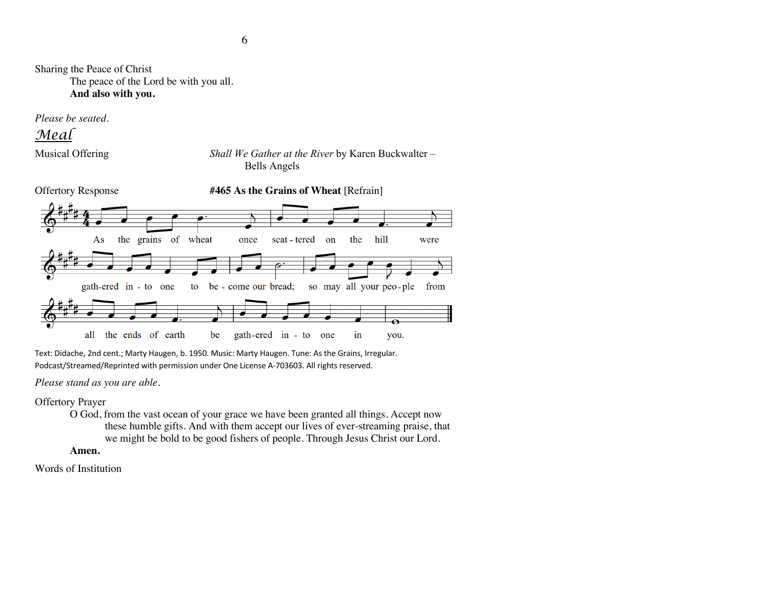Sharing the Peace of Christ The peace of the Lord be with you all. **And also with you.**

*Please be seated.*

*Meal*

Musical Offering *Shall We Gather at the River* by Karen Buckwalter – Bells Angels



Text: Didache, 2nd cent.; Marty Haugen, b. 1950. Music: Marty Haugen. Tune: As the Grains, Irregular. Podcast/Streamed/Reprinted with permission under One License A-703603. All rights reserved.

*Please stand as you are able.*

Offertory Prayer

O God, from the vast ocean of your grace we have been granted all things. Accept now these humble gifts. And with them accept our lives of ever-streaming praise, that we might be bold to be good fishers of people. Through Jesus Christ our Lord.

### **Amen.**

Words of Institution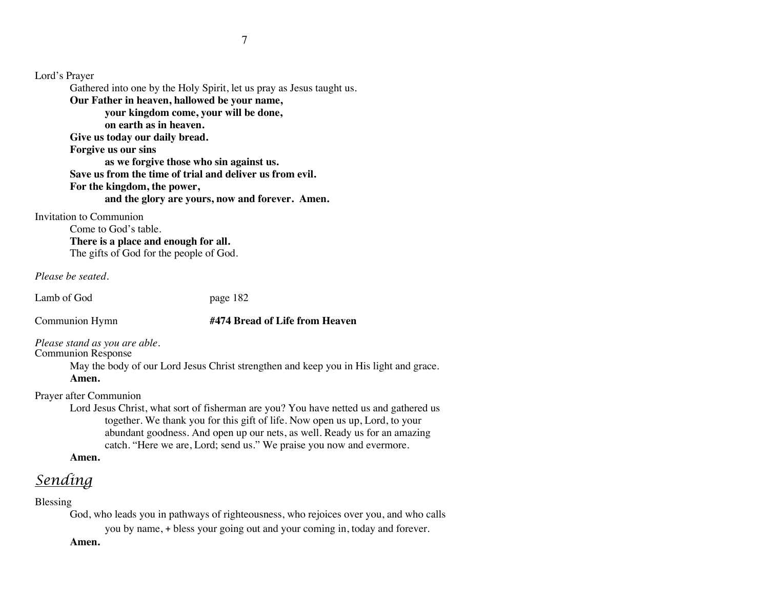Lord's Prayer Gathered into one by the Holy Spirit, let us pray as Jesus taught us. **Our Father in heaven, hallowed be your name, your kingdom come, your will be done, on earth as in heaven. Give us today our daily bread. Forgive us our sins as we forgive those who sin against us. Save us from the time of trial and deliver us from evil. For the kingdom, the power, and the glory are yours, now and forever. Amen.**

Invitation to Communion

Come to God's table. **There is a place and enough for all.** The gifts of God for the people of God.

*Please be seated.*

Lamb of God page 182

### Communion Hymn **#474 Bread of Life from Heaven**

*Please stand as you are able.*

Communion Response

May the body of our Lord Jesus Christ strengthen and keep you in His light and grace. **Amen.**

Prayer after Communion

Lord Jesus Christ, what sort of fisherman are you? You have netted us and gathered us together. We thank you for this gift of life. Now open us up, Lord, to your abundant goodness. And open up our nets, as well. Ready us for an amazing catch. "Here we are, Lord; send us." We praise you now and evermore.

**Amen.**

# *Sending*

Blessing

God, who leads you in pathways of righteousness, who rejoices over you, and who calls you by name, + bless your going out and your coming in, today and forever.

**Amen.**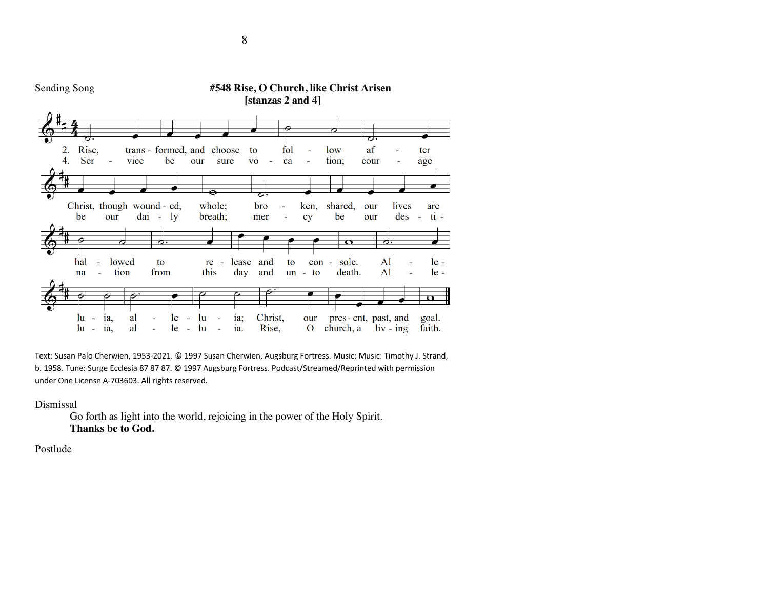

Text: Susan Palo Cherwien, 1953-2021. © 1997 Susan Cherwien, Augsburg Fortress. Music: Music: Timothy J. Strand, b. 1958. Tune: Surge Ecclesia 87 87 87. © 1997 Augsburg Fortress. Podcast/Streamed/Reprinted with permission under One License A-703603. All rights reserved.

Dismissal

Go forth as light into the world, rejoicing in the power of the Holy Spirit. **Thanks be to God.**

Postlude

8